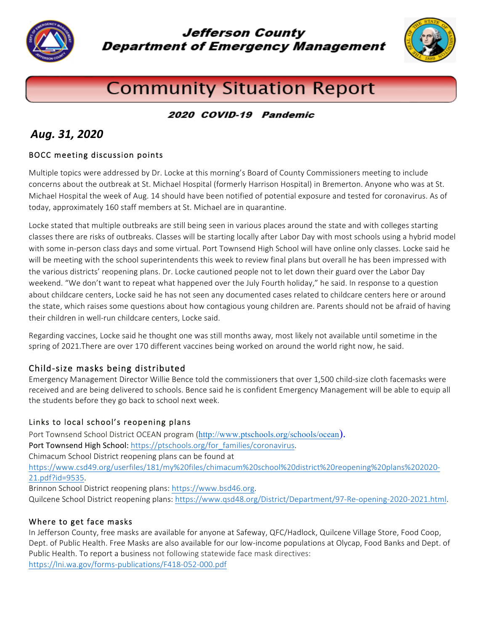

**Jefferson County Department of Emergency Management** 



# **Community Situation Report**

#### 2020 COVID-19 Pandemic

## *Aug. 31, 2020*

#### BOCC meeting discussion points

Multiple topics were addressed by Dr. Locke at this morning's Board of County Commissioners meeting to include concerns about the outbreak at St. Michael Hospital (formerly Harrison Hospital) in Bremerton. Anyone who was at St. Michael Hospital the week of Aug. 14 should have been notified of potential exposure and tested for coronavirus. As of today, approximately 160 staff members at St. Michael are in quarantine.

Locke stated that multiple outbreaks are still being seen in various places around the state and with colleges starting classes there are risks of outbreaks. Classes will be starting locally after Labor Day with most schools using a hybrid model with some in-person class days and some virtual. Port Townsend High School will have online only classes. Locke said he will be meeting with the school superintendents this week to review final plans but overall he has been impressed with the various districts' reopening plans. Dr. Locke cautioned people not to let down their guard over the Labor Day weekend. "We don't want to repeat what happened over the July Fourth holiday," he said. In response to a question about childcare centers, Locke said he has not seen any documented cases related to childcare centers here or around the state, which raises some questions about how contagious young children are. Parents should not be afraid of having their children in well-run childcare centers, Locke said.

Regarding vaccines, Locke said he thought one was still months away, most likely not available until sometime in the spring of 2021.There are over 170 different vaccines being worked on around the world right now, he said.

#### Child-size masks being distributed

Emergency Management Director Willie Bence told the commissioners that over 1,500 child-size cloth facemasks were received and are being delivered to schools. Bence said he is confident Emergency Management will be able to equip all the students before they go back to school next week.

#### Links to local school's reopening plans

Port Townsend School District OCEAN program (http://www.ptschools.org/schools/ocean). Port Townsend High School: https://ptschools.org/for\_families/coronavirus. Chimacum School District reopening plans can be found at https://www.csd49.org/userfiles/181/my%20files/chimacum%20school%20district%20reopening%20plans%202020- 21.pdf?id=9535. Brinnon School District reopening plans: https://www.bsd46.org. Quilcene School District reopening plans: https://www.qsd48.org/District/Department/97-Re-opening-2020-2021.html.

#### Where to get face masks

In Jefferson County, free masks are available for anyone at Safeway, QFC/Hadlock, Quilcene Village Store, Food Coop, Dept. of Public Health. Free Masks are also available for our low-income populations at Olycap, Food Banks and Dept. of Public Health. To report a business not following statewide face mask directives: https://lni.wa.gov/forms-publications/F418-052-000.pdf